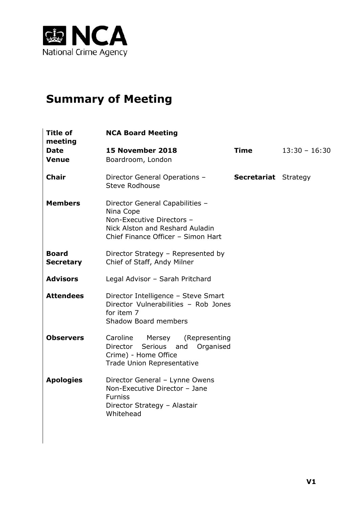

# **Summary of Meeting**

| Title of<br>meeting              | <b>NCA Board Meeting</b>                                                                                                                           |                             |                 |
|----------------------------------|----------------------------------------------------------------------------------------------------------------------------------------------------|-----------------------------|-----------------|
| <b>Date</b><br><b>Venue</b>      | 15 November 2018<br>Boardroom, London                                                                                                              | <b>Time</b>                 | $13:30 - 16:30$ |
| <b>Chair</b>                     | Director General Operations -<br><b>Steve Rodhouse</b>                                                                                             | <b>Secretariat</b> Strategy |                 |
| <b>Members</b>                   | Director General Capabilities -<br>Nina Cope<br>Non-Executive Directors -<br>Nick Alston and Reshard Auladin<br>Chief Finance Officer - Simon Hart |                             |                 |
| <b>Board</b><br><b>Secretary</b> | Director Strategy - Represented by<br>Chief of Staff, Andy Milner                                                                                  |                             |                 |
| <b>Advisors</b>                  | Legal Advisor - Sarah Pritchard                                                                                                                    |                             |                 |
| <b>Attendees</b>                 | Director Intelligence - Steve Smart<br>Director Vulnerabilities - Rob Jones<br>for item 7<br><b>Shadow Board members</b>                           |                             |                 |
| <b>Observers</b>                 | Caroline Mersey<br>(Representing<br>Director Serious and<br>Organised<br>Crime) - Home Office<br>Trade Union Representative                        |                             |                 |
| <b>Apologies</b>                 | Director General - Lynne Owens<br>Non-Executive Director - Jane<br><b>Furniss</b><br>Director Strategy - Alastair<br>Whitehead                     |                             |                 |
|                                  |                                                                                                                                                    |                             |                 |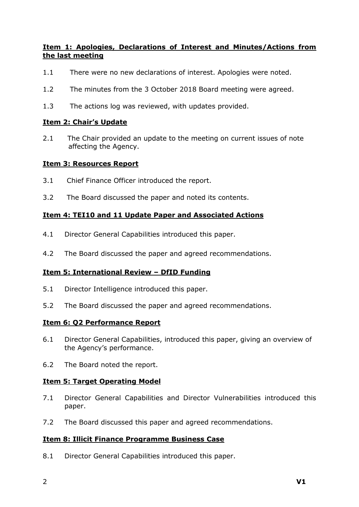# **Item 1: Apologies, Declarations of Interest and Minutes/Actions from the last meeting**

- 1.1 There were no new declarations of interest. Apologies were noted.
- 1.2 The minutes from the 3 October 2018 Board meeting were agreed.
- 1.3 The actions log was reviewed, with updates provided.

### **Item 2: Chair's Update**

2.1 The Chair provided an update to the meeting on current issues of note affecting the Agency.

#### **Item 3: Resources Report**

- 3.1 Chief Finance Officer introduced the report.
- 3.2 The Board discussed the paper and noted its contents.

## **Item 4: TEI10 and 11 Update Paper and Associated Actions**

- 4.1 Director General Capabilities introduced this paper.
- 4.2 The Board discussed the paper and agreed recommendations.

## **Item 5: International Review – DfID Funding**

- 5.1 Director Intelligence introduced this paper.
- 5.2 The Board discussed the paper and agreed recommendations.

#### **Item 6: Q2 Performance Report**

- 6.1 Director General Capabilities, introduced this paper, giving an overview of the Agency's performance.
- 6.2 The Board noted the report.

#### **Item 5: Target Operating Model**

- 7.1 Director General Capabilities and Director Vulnerabilities introduced this paper.
- 7.2 The Board discussed this paper and agreed recommendations.

## **Item 8: Illicit Finance Programme Business Case**

8.1 Director General Capabilities introduced this paper.